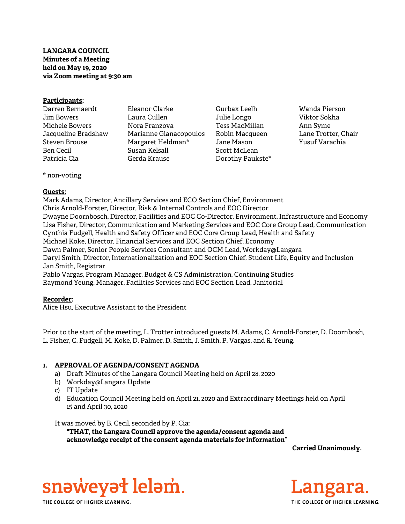# LANGARA COUNCIL Minutes of a Meeting held on May 19, 2020 via Zoom meeting at 9:30 am

#### Participants:

| Darren Bernaerdt    | Eleanor Clarke         |
|---------------------|------------------------|
| Jim Bowers          | Laura Cullen           |
| Michele Bowers      | Nora Franzova          |
| Jacqueline Bradshaw | Marianne Gianacopoulos |
| Steven Brouse       | Margaret Heldman*      |
| Ben Cecil           | Susan Kelsall          |
| Patricia Cia        | Gerda Krause           |

- Gurbax Leelh Julie Longo Tess MacMillan Robin Macqueen Jane Mason Scott McLean Dorothy Paukste\*
- Wanda Pierson Viktor Sokha Ann Syme Lane Trotter, Chair Yusuf Varachia

\* non-voting

# Guests:

Mark Adams, Director, Ancillary Services and ECO Section Chief, Environment Chris Arnold-Forster, Director, Risk & Internal Controls and EOC Director Dwayne Doornbosch, Director, Facilities and EOC Co-Director, Environment, Infrastructure and Economy Lisa Fisher, Director, Communication and Marketing Services and EOC Core Group Lead, Communication Cynthia Fudgell, Health and Safety Officer and EOC Core Group Lead, Health and Safety Michael Koke, Director, Financial Services and EOC Section Chief, Economy Dawn Palmer, Senior People Services Consultant and OCM Lead, Workday@Langara Daryl Smith, Director, Internationalization and EOC Section Chief, Student Life, Equity and Inclusion Jan Smith, Registrar Pablo Vargas, Program Manager, Budget & CS Administration, Continuing Studies Raymond Yeung, Manager, Facilities Services and EOC Section Lead, Janitorial

# Recorder:

Alice Hsu, Executive Assistant to the President

Prior to the start of the meeting, L. Trotter introduced guests M. Adams, C. Arnold-Forster, D. Doornbosh, L. Fisher, C. Fudgell, M. Koke, D. Palmer, D. Smith, J. Smith, P. Vargas, and R. Yeung.

# 1. APPROVAL OF AGENDA/CONSENT AGENDA

- a) Draft Minutes of the Langara Council Meeting held on April 28, 2020
- b) Workday@Langara Update
- c) IT Update
- d) Education Council Meeting held on April 21, 2020 and Extraordinary Meetings held on April 15 and April 30, 2020

It was moved by B. Cecil, seconded by P. Cia:

"THAT, the Langara Council approve the agenda/consent agenda and acknowledge receipt of the consent agenda materials for information"

Carried Unanimously.